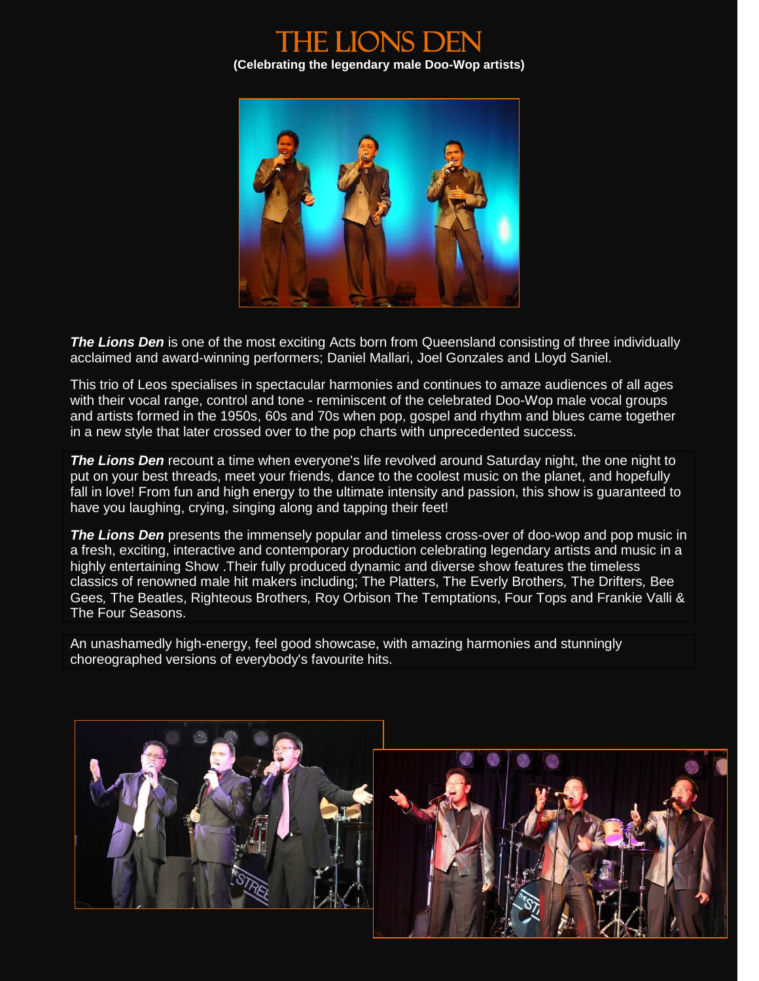



**The Lions Den** is one of the most exciting Acts born from Queensland consisting of three individually acclaimed and award-winning performers; Daniel Mallari, Joel Gonzales and Lloyd Saniel.

This trio of Leos specialises in spectacular harmonies and continues to amaze audiences of all ages with their vocal range, control and tone - reminiscent of the celebrated Doo-Wop male vocal groups and artists formed in the 1950s, 60s and 70s when pop, gospel and rhythm and blues came together in a new style that later crossed over to the pop charts with unprecedented success.

*The Lions Den* recount a time when everyone's life revolved around Saturday night, the one night to put on your best threads, meet your friends, dance to the coolest music on the planet, and hopefully fall in love! From fun and high energy to the ultimate intensity and passion, this show is guaranteed to have you laughing, crying, singing along and tapping their feet!

**The Lions Den** presents the immensely popular and timeless cross-over of doo-wop and pop music in a fresh, exciting, interactive and contemporary production celebrating legendary artists and music in a highly entertaining Show .Their fully produced dynamic and diverse show features the timeless classics of renowned male hit makers including; The Platters, The Everly Brothers*,* The Drifters*,* Bee Gees*,* The Beatles, Righteous Brothers*,* Roy Orbison The Temptations, Four Tops and Frankie Valli & The Four Seasons.

An unashamedly high-energy, feel good showcase, with amazing harmonies and stunningly choreographed versions of everybody's favourite hits.